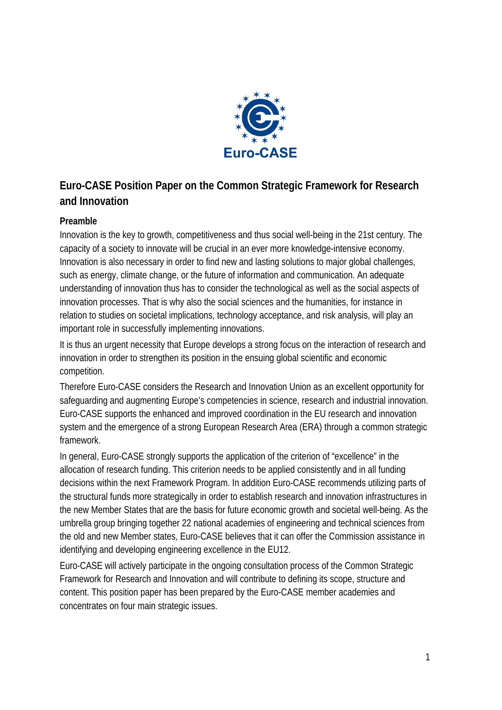

# **Euro-CASE Position Paper on the Common Strategic Framework for Research and Innovation**

### **Preamble**

Innovation is the key to growth, competitiveness and thus social well-being in the 21st century. The capacity of a society to innovate will be crucial in an ever more knowledge-intensive economy. Innovation is also necessary in order to find new and lasting solutions to major global challenges, such as energy, climate change, or the future of information and communication. An adequate understanding of innovation thus has to consider the technological as well as the social aspects of innovation processes. That is why also the social sciences and the humanities, for instance in relation to studies on societal implications, technology acceptance, and risk analysis, will play an important role in successfully implementing innovations.

It is thus an urgent necessity that Europe develops a strong focus on the interaction of research and innovation in order to strengthen its position in the ensuing global scientific and economic competition.

Therefore Euro-CASE considers the Research and Innovation Union as an excellent opportunity for safeguarding and augmenting Europe's competencies in science, research and industrial innovation. Euro-CASE supports the enhanced and improved coordination in the EU research and innovation system and the emergence of a strong European Research Area (ERA) through a common strategic framework.

In general, Euro-CASE strongly supports the application of the criterion of "excellence" in the allocation of research funding. This criterion needs to be applied consistently and in all funding decisions within the next Framework Program. In addition Euro-CASE recommends utilizing parts of the structural funds more strategically in order to establish research and innovation infrastructures in the new Member States that are the basis for future economic growth and societal well-being. As the umbrella group bringing together 22 national academies of engineering and technical sciences from the old and new Member states, Euro-CASE believes that it can offer the Commission assistance in identifying and developing engineering excellence in the EU12.

Euro-CASE will actively participate in the ongoing consultation process of the Common Strategic Framework for Research and Innovation and will contribute to defining its scope, structure and content. This position paper has been prepared by the Euro-CASE member academies and concentrates on four main strategic issues.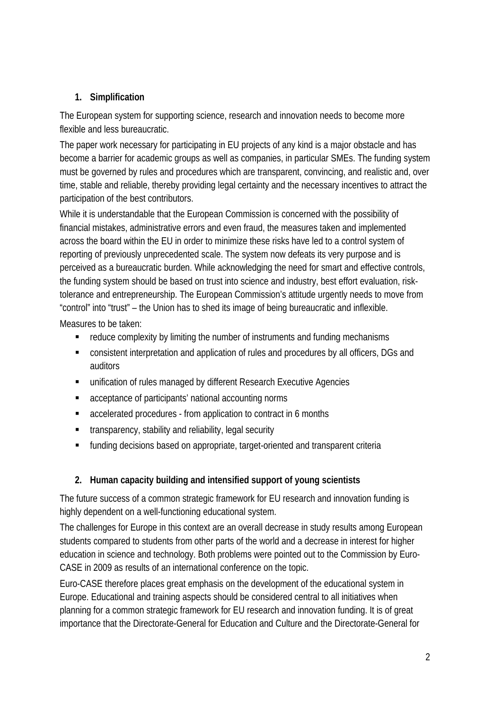# **1. Simplification**

The European system for supporting science, research and innovation needs to become more flexible and less bureaucratic.

The paper work necessary for participating in EU projects of any kind is a major obstacle and has become a barrier for academic groups as well as companies, in particular SMEs. The funding system must be governed by rules and procedures which are transparent, convincing, and realistic and, over time, stable and reliable, thereby providing legal certainty and the necessary incentives to attract the participation of the best contributors.

While it is understandable that the European Commission is concerned with the possibility of financial mistakes, administrative errors and even fraud, the measures taken and implemented across the board within the EU in order to minimize these risks have led to a control system of reporting of previously unprecedented scale. The system now defeats its very purpose and is perceived as a bureaucratic burden. While acknowledging the need for smart and effective controls, the funding system should be based on trust into science and industry, best effort evaluation, risktolerance and entrepreneurship. The European Commission's attitude urgently needs to move from "control" into "trust" – the Union has to shed its image of being bureaucratic and inflexible.

Measures to be taken:

- reduce complexity by limiting the number of instruments and funding mechanisms
- consistent interpretation and application of rules and procedures by all officers, DGs and auditors
- unification of rules managed by different Research Executive Agencies
- acceptance of participants' national accounting norms
- accelerated procedures from application to contract in 6 months
- **transparency, stability and reliability, legal security**
- funding decisions based on appropriate, target-oriented and transparent criteria

## **2. Human capacity building and intensified support of young scientists**

The future success of a common strategic framework for EU research and innovation funding is highly dependent on a well-functioning educational system.

The challenges for Europe in this context are an overall decrease in study results among European students compared to students from other parts of the world and a decrease in interest for higher education in science and technology. Both problems were pointed out to the Commission by Euro-CASE in 2009 as results of an international conference on the topic.

Euro-CASE therefore places great emphasis on the development of the educational system in Europe. Educational and training aspects should be considered central to all initiatives when planning for a common strategic framework for EU research and innovation funding. It is of great importance that the Directorate-General for Education and Culture and the Directorate-General for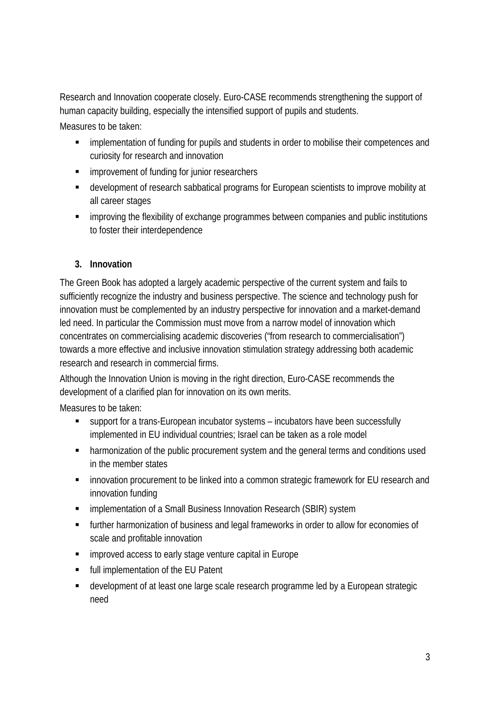Research and Innovation cooperate closely. Euro-CASE recommends strengthening the support of human capacity building, especially the intensified support of pupils and students.

Measures to be taken:

- **EXECT** implementation of funding for pupils and students in order to mobilise their competences and curiosity for research and innovation
- **EXECUTE:** improvement of funding for junior researchers
- development of research sabbatical programs for European scientists to improve mobility at all career stages
- **EXECT** improving the flexibility of exchange programmes between companies and public institutions to foster their interdependence

### **3. Innovation**

The Green Book has adopted a largely academic perspective of the current system and fails to sufficiently recognize the industry and business perspective. The science and technology push for innovation must be complemented by an industry perspective for innovation and a market-demand led need. In particular the Commission must move from a narrow model of innovation which concentrates on commercialising academic discoveries ("from research to commercialisation") towards a more effective and inclusive innovation stimulation strategy addressing both academic research and research in commercial firms.

Although the Innovation Union is moving in the right direction, Euro-CASE recommends the development of a clarified plan for innovation on its own merits.

Measures to be taken:

- support for a trans-European incubator systems incubators have been successfully implemented in EU individual countries; Israel can be taken as a role model
- **•** harmonization of the public procurement system and the general terms and conditions used in the member states
- **EXECT** innovation procurement to be linked into a common strategic framework for EU research and innovation funding
- **EXEDENT** implementation of a Small Business Innovation Research (SBIR) system
- further harmonization of business and legal frameworks in order to allow for economies of scale and profitable innovation
- **EXEDENT** improved access to early stage venture capital in Europe
- full implementation of the EU Patent
- development of at least one large scale research programme led by a European strategic need